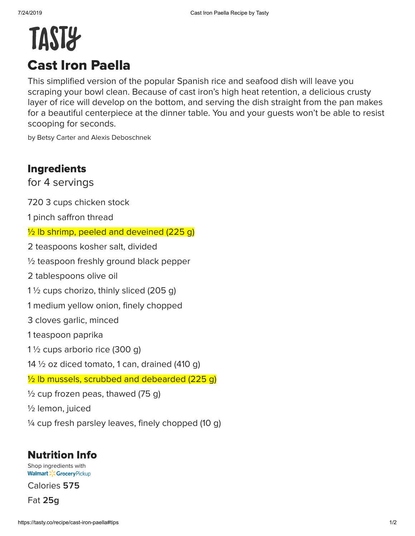## TAST<sub>2</sub> Cast Iron Paella

This simplified version of the popular Spanish rice and seafood dish will leave you scraping your bowl clean. Because of cast iron's high heat retention, a delicious crusty layer of rice will develop on the bottom, and serving the dish straight from the pan makes for a beautiful centerpiece at the dinner table. You and your guests won't be able to resist scooping for seconds.

by Betsy Carter and Alexis Deboschnek

## Ingredients

for 4 servings

720 3 cups chicken stock

1 pinch saffron thread

 $\frac{1}{2}$  lb shrimp, peeled and deveined (225 g)

2 teaspoons kosher salt, divided

½ teaspoon freshly ground black pepper

2 tablespoons olive oil

1 $\frac{1}{2}$  cups chorizo, thinly sliced (205 g)

1 medium yellow onion, finely chopped

3 cloves garlic, minced

1 teaspoon paprika

1 ½ cups arborio rice (300 g)

14  $\frac{1}{2}$  oz diced tomato, 1 can, drained (410 g)

 $\frac{1}{2}$  lb mussels, scrubbed and debearded (225 g)

 $\frac{1}{2}$  cup frozen peas, thawed (75 g)

½ lemon, juiced

 $\frac{1}{4}$  cup fresh parsley leaves, finely chopped (10 g)

## Nutrition Info

[Shop](https://grocery.walmart.com/) ingredients with **Walmart > Grocery Pickup** 

Calories 575

Fat **g**